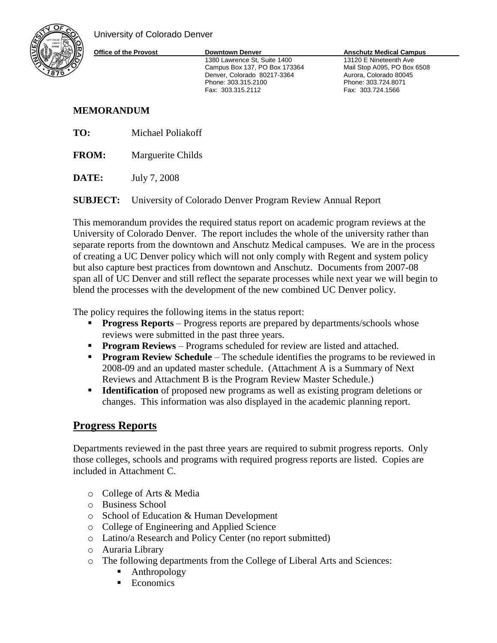

University of Colorado Denver

1380 Lawrence St, Suite 1400 13120 E Nineteenth Ave

Phone: 303.315.2100<br>Fax: 303.315.2112

**Office of the Provost <b>Downtown Denver Anschutz Medical Campus** 

Campus Box 137, PO Box 173364 Mail Stop A095, PO Box 6508 Denver, Colorado 80217-3364 Aurora, Colorado 80045<br>Phone: 303.315.2100 Phone: 303.724.8071 Fax: 303.724.1566

# **MEMORANDUM**

**TO:** Michael Poliakoff

**FROM:** Marguerite Childs

**DATE:** July 7, 2008

**SUBJECT:** University of Colorado Denver Program Review Annual Report

This memorandum provides the required status report on academic program reviews at the University of Colorado Denver. The report includes the whole of the university rather than separate reports from the downtown and Anschutz Medical campuses. We are in the process of creating a UC Denver policy which will not only comply with Regent and system policy but also capture best practices from downtown and Anschutz. Documents from 2007-08 span all of UC Denver and still reflect the separate processes while next year we will begin to blend the processes with the development of the new combined UC Denver policy.

The policy requires the following items in the status report:

- **Progress Reports** Progress reports are prepared by departments/schools whose reviews were submitted in the past three years.
- **Program Reviews** Programs scheduled for review are listed and attached.
- **Program Review Schedule** The schedule identifies the programs to be reviewed in 2008-09 and an updated master schedule. (Attachment A is a Summary of Next Reviews and Attachment B is the Program Review Master Schedule.)
- **Identification** of proposed new programs as well as existing program deletions or changes. This information was also displayed in the academic planning report.

# **Progress Reports**

Departments reviewed in the past three years are required to submit progress reports. Only those colleges, schools and programs with required progress reports are listed. Copies are included in Attachment C.

- o College of Arts & Media
- o Business School
- o School of Education & Human Development
- o College of Engineering and Applied Science
- o Latino/a Research and Policy Center (no report submitted)
- o Auraria Library
- o The following departments from the College of Liberal Arts and Sciences:
	- Anthropology
	- Economics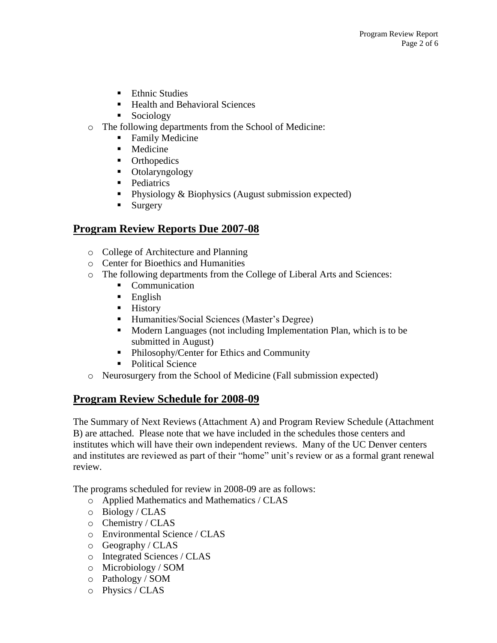- **Ethnic Studies**
- Health and Behavioral Sciences
- **Sociology**
- o The following departments from the School of Medicine:
	- Family Medicine
	- **Medicine**
	- **•** Orthopedics
	- Otolaryngology
	- **Pediatrics**
	- **Physiology & Biophysics (August submission expected)**
	- **Surgery**

## **Program Review Reports Due 2007-08**

- o College of Architecture and Planning
- o Center for Bioethics and Humanities
- o The following departments from the College of Liberal Arts and Sciences:
	- Communication
	- $\blacksquare$  English
	- **History**
	- Humanities/Social Sciences (Master's Degree)
	- **Modern Languages (not including Implementation Plan, which is to be** submitted in August)
	- **Philosophy/Center for Ethics and Community**
	- Political Science
- o Neurosurgery from the School of Medicine (Fall submission expected)

# **Program Review Schedule for 2008-09**

The Summary of Next Reviews (Attachment A) and Program Review Schedule (Attachment B) are attached. Please note that we have included in the schedules those centers and institutes which will have their own independent reviews. Many of the UC Denver centers and institutes are reviewed as part of their "home" unit's review or as a formal grant renewal review.

The programs scheduled for review in 2008-09 are as follows:

- o Applied Mathematics and Mathematics / CLAS
- o Biology / CLAS
- o Chemistry / CLAS
- o Environmental Science / CLAS
- o Geography / CLAS
- o Integrated Sciences / CLAS
- o Microbiology / SOM
- o Pathology / SOM
- o Physics / CLAS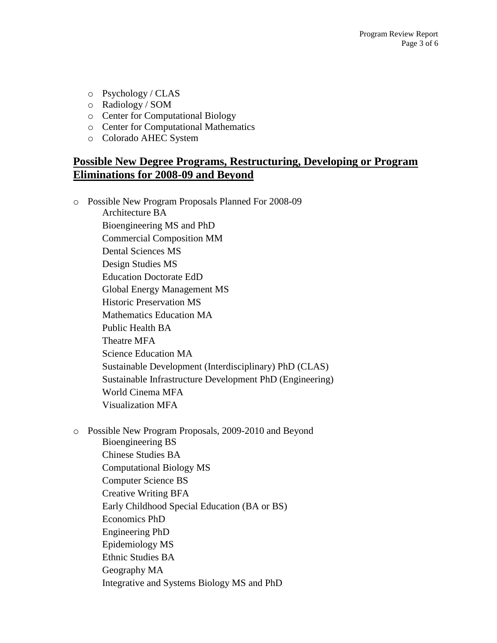- o Psychology / CLAS
- o Radiology / SOM
- o Center for Computational Biology
- o Center for Computational Mathematics
- o Colorado AHEC System

#### **Possible New Degree Programs, Restructuring, Developing or Program Eliminations for 2008-09 and Beyond**

o Possible New Program Proposals Planned For 2008-09

Architecture BA Bioengineering MS and PhD Commercial Composition MM Dental Sciences MS Design Studies MS Education Doctorate EdD Global Energy Management MS Historic Preservation MS Mathematics Education MA Public Health BA Theatre MFA Science Education MA Sustainable Development (Interdisciplinary) PhD (CLAS) Sustainable Infrastructure Development PhD (Engineering) World Cinema MFA Visualization MFA

o Possible New Program Proposals, 2009-2010 and Beyond Bioengineering BS Chinese Studies BA Computational Biology MS Computer Science BS Creative Writing BFA Early Childhood Special Education (BA or BS) Economics PhD Engineering PhD Epidemiology MS Ethnic Studies BA Geography MA Integrative and Systems Biology MS and PhD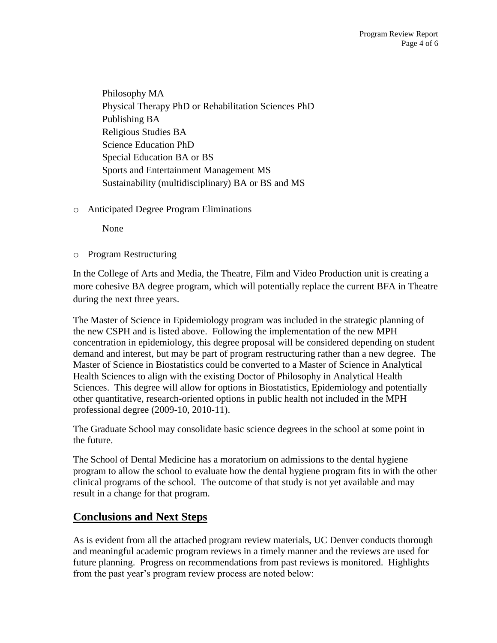Philosophy MA Physical Therapy PhD or Rehabilitation Sciences PhD Publishing BA Religious Studies BA Science Education PhD Special Education BA or BS Sports and Entertainment Management MS Sustainability (multidisciplinary) BA or BS and MS

o Anticipated Degree Program Eliminations

None

o Program Restructuring

In the College of Arts and Media, the Theatre, Film and Video Production unit is creating a more cohesive BA degree program, which will potentially replace the current BFA in Theatre during the next three years.

The Master of Science in Epidemiology program was included in the strategic planning of the new CSPH and is listed above. Following the implementation of the new MPH concentration in epidemiology, this degree proposal will be considered depending on student demand and interest, but may be part of program restructuring rather than a new degree. The Master of Science in Biostatistics could be converted to a Master of Science in Analytical Health Sciences to align with the existing Doctor of Philosophy in Analytical Health Sciences. This degree will allow for options in Biostatistics, Epidemiology and potentially other quantitative, research-oriented options in public health not included in the MPH professional degree (2009-10, 2010-11).

The Graduate School may consolidate basic science degrees in the school at some point in the future.

The School of Dental Medicine has a moratorium on admissions to the dental hygiene program to allow the school to evaluate how the dental hygiene program fits in with the other clinical programs of the school. The outcome of that study is not yet available and may result in a change for that program.

## **Conclusions and Next Steps**

As is evident from all the attached program review materials, UC Denver conducts thorough and meaningful academic program reviews in a timely manner and the reviews are used for future planning. Progress on recommendations from past reviews is monitored. Highlights from the past year's program review process are noted below: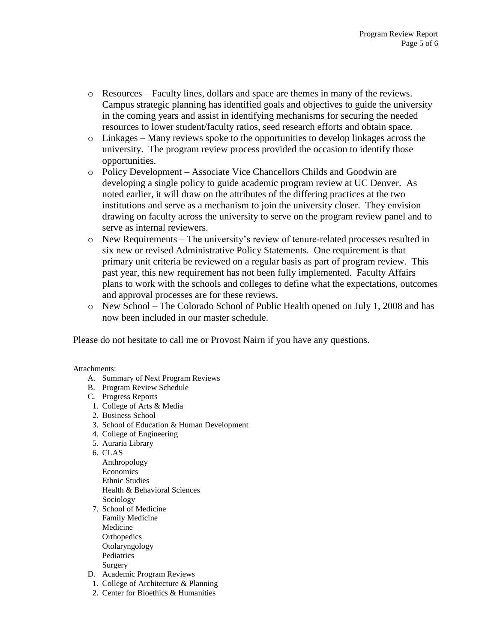- o Resources Faculty lines, dollars and space are themes in many of the reviews. Campus strategic planning has identified goals and objectives to guide the university in the coming years and assist in identifying mechanisms for securing the needed resources to lower student/faculty ratios, seed research efforts and obtain space.
- o Linkages Many reviews spoke to the opportunities to develop linkages across the university. The program review process provided the occasion to identify those opportunities.
- o Policy Development Associate Vice Chancellors Childs and Goodwin are developing a single policy to guide academic program review at UC Denver. As noted earlier, it will draw on the attributes of the differing practices at the two institutions and serve as a mechanism to join the university closer. They envision drawing on faculty across the university to serve on the program review panel and to serve as internal reviewers.
- o New Requirements The university's review of tenure-related processes resulted in six new or revised Administrative Policy Statements. One requirement is that primary unit criteria be reviewed on a regular basis as part of program review. This past year, this new requirement has not been fully implemented. Faculty Affairs plans to work with the schools and colleges to define what the expectations, outcomes and approval processes are for these reviews.
- o New School The Colorado School of Public Health opened on July 1, 2008 and has now been included in our master schedule.

Please do not hesitate to call me or Provost Nairn if you have any questions.

#### Attachments:

- A. Summary of Next Program Reviews
- B. Program Review Schedule
- C. Progress Reports
- 1. College of Arts & Media
- 2. Business School
- 3. School of Education & Human Development
- 4. College of Engineering
- 5. Auraria Library
- 6. CLAS
	- Anthropology Economics Ethnic Studies Health & Behavioral Sciences Sociology
- 7. School of Medicine Family Medicine Medicine **Orthopedics** Otolaryngology Pediatrics Surgery
- D. Academic Program Reviews
- 1. College of Architecture & Planning
- 2. Center for Bioethics & Humanities